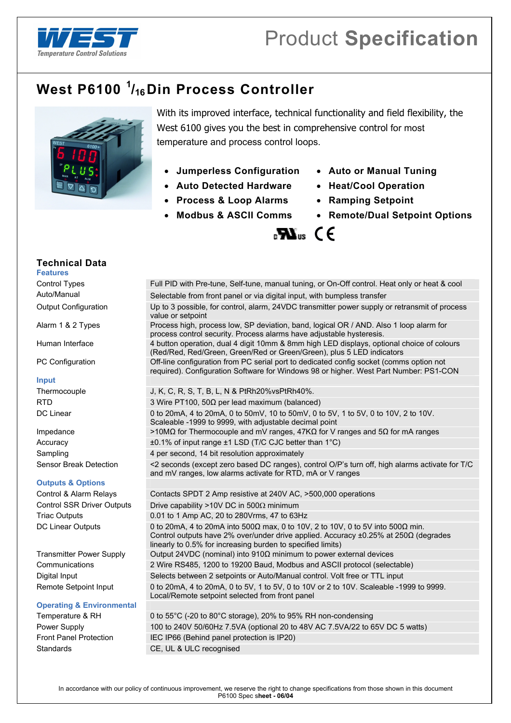

# **West P6100 <sup>1</sup> /16Din Process Controller**



With its improved interface, technical functionality and field flexibility, the West 6100 gives you the best in comprehensive control for most temperature and process control loops.

 $\mathbf{R}$   $\mathbf{M}_{\text{us}}$  (  $\epsilon$ 

- **Jumperless Configuration Auto or Manual Tuning**
- **Auto Detected Hardware Heat/Cool Operation**
- **Process & Loop Alarms Ramping Setpoint**
- 
- 
- 
- 
- **Modbus & ASCII Comms Remote/Dual Setpoint Options**

**Technical Data** 

Control Types Full PID with Pre-tune, Self-tune, manual tuning, or On-Off control. Heat only or heat & cool

#### **Input**

### **Outputs & Options**

### **Operating & Environmental**

Auto/Manual Selectable from front panel or via digital input, with bumpless transfer Output Configuration Up to 3 possible, for control, alarm, 24VDC transmitter power supply or retransmit of process value or setpoint Alarm 1 & 2 Types Process high, process low, SP deviation, band, logical OR / AND. Also 1 loop alarm for process control security. Process alarms have adjustable hysteresis. Human Interface 4 button operation, dual 4 digit 10mm & 8mm high LED displays, optional choice of colours (Red/Red, Red/Green, Green/Red or Green/Green), plus 5 LED indicators PC Configuration **Off-line configuration from PC** serial port to dedicated config socket (comms option not required). Configuration Software for Windows 98 or higher. West Part Number: PS1-CON Thermocouple J, K, C, R, S, T, B, L, N & PtRh20%vsPtRh40%. RTD 3 Wire PT100, 50 $\Omega$  per lead maximum (balanced) DC Linear 0 to 20mA, 4 to 20mA, 0 to 50mV, 10 to 50mV, 0 to 5V, 1 to 5V, 0 to 10V, 2 to 10V. Scaleable -1999 to 9999, with adjustable decimal point Impedance >10MΩ for Thermocouple and mV ranges, 47KΩ for V ranges and 5Ω for mA ranges Accuracy ±0.1% of input range ±1 LSD (T/C CJC better than 1°C) Sampling 3.1 and 4 per second, 14 bit resolution approximately Sensor Break Detection <2 seconds (except zero based DC ranges), control O/P's turn off, high alarms activate for T/C and mV ranges, low alarms activate for RTD, mA or V ranges Control & Alarm Relays Contacts SPDT 2 Amp resistive at 240V AC, >500,000 operations Control SSR Driver Outputs Drive capability >10V DC in 500 $\Omega$  minimum Triac Outputs 0.01 to 1 Amp AC, 20 to 280 Vrms, 47 to 63 Hz DC Linear Outputs 0 to 20mA, 4 to 20mA into 500Ω max, 0 to 10V, 2 to 10V, 0 to 5V into 500Ω min. Control outputs have 2% over/under drive applied. Accuracy ±0.25% at 250Ω (degrades linearly to 0.5% for increasing burden to specified limits) Transmitter Power Supply Output 24VDC (nominal) into 910Ω minimum to power external devices Communications 2 Wire RS485, 1200 to 19200 Baud, Modbus and ASCII protocol (selectable) Digital Input Selects between 2 setpoints or Auto/Manual control. Volt free or TTL input Remote Setpoint Input 0 to 20mA, 4 to 20mA, 0 to 5V, 1 to 5V, 0 to 10V or 2 to 10V. Scaleable -1999 to 9999. Local/Remote setpoint selected from front panel Temperature & RH 0 to 55°C (-20 to 80°C storage), 20% to 95% RH non-condensing Power Supply 100 to 240V 50/60Hz 7.5VA (optional 20 to 48V AC 7.5VA/22 to 65V DC 5 watts)

Front Panel Protection IEC IP66 (Behind panel protection is IP20) Standards CE, UL & ULC recognised

# **Features**